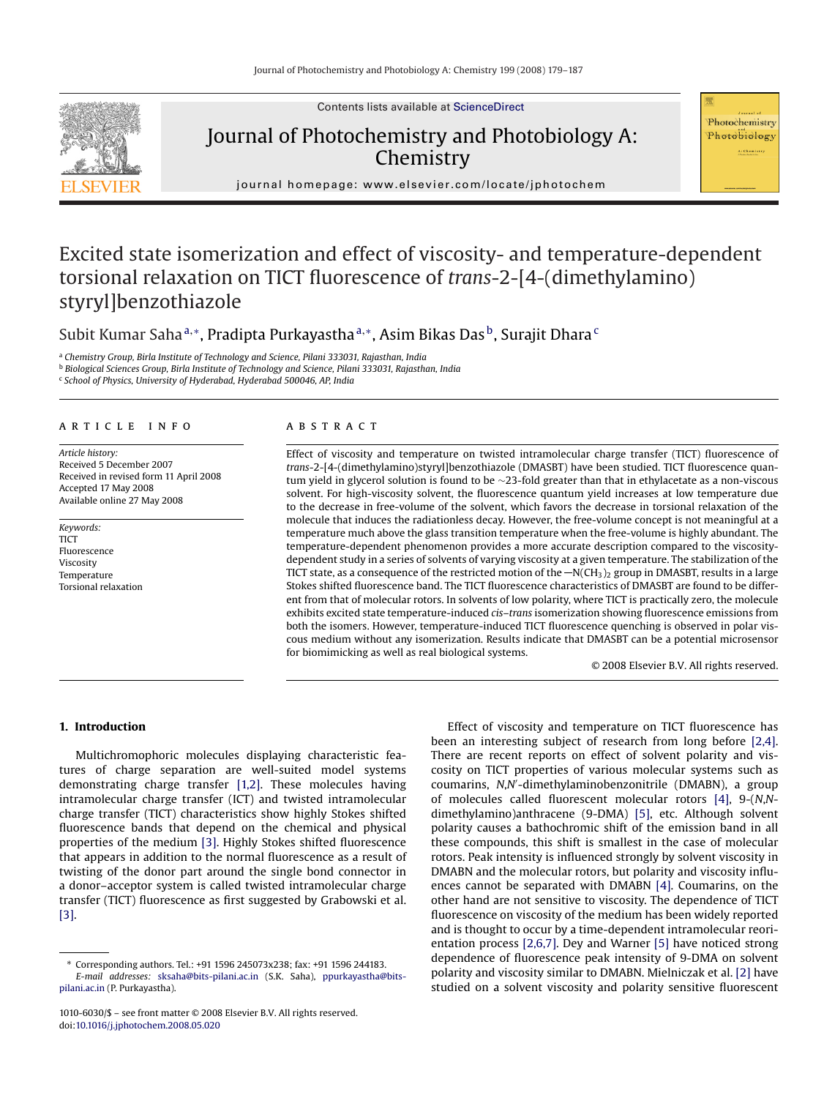

Contents lists available at [ScienceDirect](http://www.sciencedirect.com/science/journal/10106030)

## Journal of Photochemistry and Photobiology A: Chemistry



journal homepage: www.elsevier.com/locate/jphotochem

# Excited state isomerization and effect of viscosity- and temperature-dependent torsional relaxation on TICT fluorescence of *trans*-2-[4-(dimethylamino) styryl]benzothiazole

Subit Kumar Saha<sup>a,</sup>\*, Pradipta Purkayastha<sup>a,</sup>\*, Asim Bikas Das<sup>b</sup>, Surajit Dhara<sup>c</sup>

<sup>a</sup> *Chemistry Group, Birla Institute of Technology and Science, Pilani 333031, Rajasthan, India*

<sup>b</sup> *Biological Sciences Group, Birla Institute of Technology and Science, Pilani 333031, Rajasthan, India*

<sup>c</sup> *School of Physics, University of Hyderabad, Hyderabad 500046, AP, India*

## article info

*Article history:* Received 5 December 2007 Received in revised form 11 April 2008 Accepted 17 May 2008 Available online 27 May 2008

*Keywords:* **TICT** Fluorescence Viscosity **Temperature** Torsional relaxation

## **ABSTRACT**

Effect of viscosity and temperature on twisted intramolecular charge transfer (TICT) fluorescence of *trans*-2-[4-(dimethylamino)styryl]benzothiazole (DMASBT) have been studied. TICT fluorescence quantum yield in glycerol solution is found to be ∼23-fold greater than that in ethylacetate as a non-viscous solvent. For high-viscosity solvent, the fluorescence quantum yield increases at low temperature due to the decrease in free-volume of the solvent, which favors the decrease in torsional relaxation of the molecule that induces the radiationless decay. However, the free-volume concept is not meaningful at a temperature much above the glass transition temperature when the free-volume is highly abundant. The temperature-dependent phenomenon provides a more accurate description compared to the viscositydependent study in a series of solvents of varying viscosity at a given temperature. The stabilization of the TICT state, as a consequence of the restricted motion of the  $-N(CH_3)_2$  group in DMASBT, results in a large Stokes shifted fluorescence band. The TICT fluorescence characteristics of DMASBT are found to be different from that of molecular rotors. In solvents of low polarity, where TICT is practically zero, the molecule exhibits excited state temperature-induced *cis*–*trans* isomerization showing fluorescence emissions from both the isomers. However, temperature-induced TICT fluorescence quenching is observed in polar viscous medium without any isomerization. Results indicate that DMASBT can be a potential microsensor for biomimicking as well as real biological systems.

© 2008 Elsevier B.V. All rights reserved.

## **1. Introduction**

Multichromophoric molecules displaying characteristic features of charge separation are well-suited model systems demonstrating charge transfer [\[1,2\].](#page-8-0) These molecules having intramolecular charge transfer (ICT) and twisted intramolecular charge transfer (TICT) characteristics show highly Stokes shifted fluorescence bands that depend on the chemical and physical properties of the medium [\[3\].](#page-8-0) Highly Stokes shifted fluorescence that appears in addition to the normal fluorescence as a result of twisting of the donor part around the single bond connector in a donor–acceptor system is called twisted intramolecular charge transfer (TICT) fluorescence as first suggested by Grabowski et al. [\[3\].](#page-8-0)

Effect of viscosity and temperature on TICT fluorescence has been an interesting subject of research from long before [\[2,4\].](#page-8-0) There are recent reports on effect of solvent polarity and viscosity on TICT properties of various molecular systems such as coumarins, *N*,*N* -dimethylaminobenzonitrile (DMABN), a group of molecules called fluorescent molecular rotors [\[4\],](#page-8-0) 9-(*N*,*N*dimethylamino)anthracene (9-DMA) [\[5\],](#page-8-0) etc. Although solvent polarity causes a bathochromic shift of the emission band in all these compounds, this shift is smallest in the case of molecular rotors. Peak intensity is influenced strongly by solvent viscosity in DMABN and the molecular rotors, but polarity and viscosity influences cannot be separated with DMABN [\[4\].](#page-8-0) Coumarins, on the other hand are not sensitive to viscosity. The dependence of TICT fluorescence on viscosity of the medium has been widely reported and is thought to occur by a time-dependent intramolecular reorientation process [\[2,6,7\]. D](#page-8-0)ey and Warner [\[5\]](#page-8-0) have noticed strong dependence of fluorescence peak intensity of 9-DMA on solvent polarity and viscosity similar to DMABN. Mielniczak et al. [\[2\]](#page-8-0) have studied on a solvent viscosity and polarity sensitive fluorescent

<sup>∗</sup> Corresponding authors. Tel.: +91 1596 245073x238; fax: +91 1596 244183. *E-mail addresses:* [sksaha@bits-pilani.ac.in](mailto:sksaha@bits-pilani.ac.in) (S.K. Saha), [ppurkayastha@bits](mailto:ppurkayastha@bits-pilani.ac.in)pilani.ac.in (P. Purkayastha).

<sup>1010-6030/\$ –</sup> see front matter © 2008 Elsevier B.V. All rights reserved. doi:[10.1016/j.jphotochem.2008.05.020](dx.doi.org/10.1016/j.jphotochem.2008.05.020)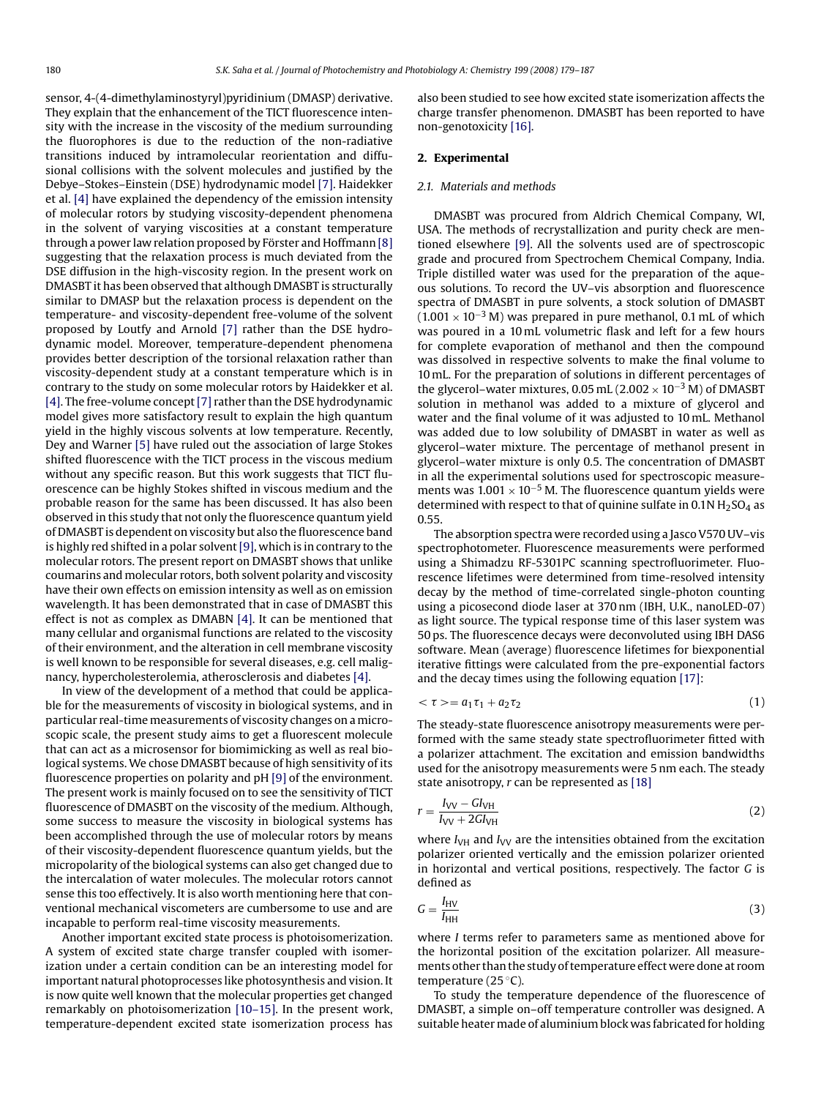<span id="page-1-0"></span>sensor, 4-(4-dimethylaminostyryl)pyridinium (DMASP) derivative. They explain that the enhancement of the TICT fluorescence intensity with the increase in the viscosity of the medium surrounding the fluorophores is due to the reduction of the non-radiative transitions induced by intramolecular reorientation and diffusional collisions with the solvent molecules and justified by the Debye–Stokes–Einstein (DSE) hydrodynamic model [\[7\]. H](#page-8-0)aidekker et al. [\[4\]](#page-8-0) have explained the dependency of the emission intensity of molecular rotors by studying viscosity-dependent phenomena in the solvent of varying viscosities at a constant temperature through a power law relation proposed by Förster and Hoffmann [\[8\]](#page-8-0) suggesting that the relaxation process is much deviated from the DSE diffusion in the high-viscosity region. In the present work on DMASBT it has been observed that although DMASBT is structurally similar to DMASP but the relaxation process is dependent on the temperature- and viscosity-dependent free-volume of the solvent proposed by Loutfy and Arnold [\[7\]](#page-8-0) rather than the DSE hydrodynamic model. Moreover, temperature-dependent phenomena provides better description of the torsional relaxation rather than viscosity-dependent study at a constant temperature which is in contrary to the study on some molecular rotors by Haidekker et al. [\[4\]. T](#page-8-0)he free-volume concept [\[7\]](#page-8-0) rather than the DSE hydrodynamic model gives more satisfactory result to explain the high quantum yield in the highly viscous solvents at low temperature. Recently, Dey and Warner [\[5\]](#page-8-0) have ruled out the association of large Stokes shifted fluorescence with the TICT process in the viscous medium without any specific reason. But this work suggests that TICT fluorescence can be highly Stokes shifted in viscous medium and the probable reason for the same has been discussed. It has also been observed in this study that not only the fluorescence quantum yield of DMASBT is dependent on viscosity but also the fluorescence band is highly red shifted in a polar solvent[\[9\], w](#page-8-0)hich is in contrary to the molecular rotors. The present report on DMASBT shows that unlike coumarins and molecular rotors, both solvent polarity and viscosity have their own effects on emission intensity as well as on emission wavelength. It has been demonstrated that in case of DMASBT this effect is not as complex as DMABN [\[4\].](#page-8-0) It can be mentioned that many cellular and organismal functions are related to the viscosity of their environment, and the alteration in cell membrane viscosity is well known to be responsible for several diseases, e.g. cell malignancy, hypercholesterolemia, atherosclerosis and diabetes [\[4\].](#page-8-0)

In view of the development of a method that could be applicable for the measurements of viscosity in biological systems, and in particular real-time measurements of viscosity changes on a microscopic scale, the present study aims to get a fluorescent molecule that can act as a microsensor for biomimicking as well as real biological systems. We chose DMASBT because of high sensitivity of its fluorescence properties on polarity and pH [\[9\]](#page-8-0) of the environment. The present work is mainly focused on to see the sensitivity of TICT fluorescence of DMASBT on the viscosity of the medium. Although, some success to measure the viscosity in biological systems has been accomplished through the use of molecular rotors by means of their viscosity-dependent fluorescence quantum yields, but the micropolarity of the biological systems can also get changed due to the intercalation of water molecules. The molecular rotors cannot sense this too effectively. It is also worth mentioning here that conventional mechanical viscometers are cumbersome to use and are incapable to perform real-time viscosity measurements.

Another important excited state process is photoisomerization. A system of excited state charge transfer coupled with isomerization under a certain condition can be an interesting model for important natural photoprocesses like photosynthesis and vision. It is now quite well known that the molecular properties get changed remarkably on photoisomerization [\[10–15\].](#page-8-0) In the present work, temperature-dependent excited state isomerization process has also been studied to see how excited state isomerization affects the charge transfer phenomenon. DMASBT has been reported to have non-genotoxicity [\[16\].](#page-8-0)

## **2. Experimental**

## *2.1. Materials and methods*

DMASBT was procured from Aldrich Chemical Company, WI, USA. The methods of recrystallization and purity check are mentioned elsewhere [\[9\].](#page-8-0) All the solvents used are of spectroscopic grade and procured from Spectrochem Chemical Company, India. Triple distilled water was used for the preparation of the aqueous solutions. To record the UV–vis absorption and fluorescence spectra of DMASBT in pure solvents, a stock solution of DMASBT  $(1.001 \times 10^{-3}$  M) was prepared in pure methanol, 0.1 mL of which was poured in a 10 mL volumetric flask and left for a few hours for complete evaporation of methanol and then the compound was dissolved in respective solvents to make the final volume to 10 mL. For the preparation of solutions in different percentages of the glycerol–water mixtures, 0.05 mL (2.002  $\times$  10<sup>-3</sup> M) of DMASBT solution in methanol was added to a mixture of glycerol and water and the final volume of it was adjusted to 10 mL. Methanol was added due to low solubility of DMASBT in water as well as glycerol–water mixture. The percentage of methanol present in glycerol–water mixture is only 0.5. The concentration of DMASBT in all the experimental solutions used for spectroscopic measurements was  $1.001 \times 10^{-5}$  M. The fluorescence quantum yields were determined with respect to that of quinine sulfate in  $0.1N H<sub>2</sub>SO<sub>4</sub>$  as 0.55.

The absorption spectra were recorded using a Jasco V570 UV–vis spectrophotometer. Fluorescence measurements were performed using a Shimadzu RF-5301PC scanning spectrofluorimeter. Fluorescence lifetimes were determined from time-resolved intensity decay by the method of time-correlated single-photon counting using a picosecond diode laser at 370 nm (IBH, U.K., nanoLED-07) as light source. The typical response time of this laser system was 50 ps. The fluorescence decays were deconvoluted using IBH DAS6 software. Mean (average) fluorescence lifetimes for biexponential iterative fittings were calculated from the pre-exponential factors and the decay times using the following equation [\[17\]:](#page-8-0)

$$
\langle \tau \rangle = a_1 \tau_1 + a_2 \tau_2 \tag{1}
$$

The steady-state fluorescence anisotropy measurements were performed with the same steady state spectrofluorimeter fitted with a polarizer attachment. The excitation and emission bandwidths used for the anisotropy measurements were 5 nm each. The steady state anisotropy, *r* can be represented as [\[18\]](#page-8-0)

$$
r = \frac{I_{VV} - G I_{VH}}{I_{VV} + 2G I_{VH}}
$$
\n
$$
\tag{2}
$$

where  $I_{\text{VH}}$  and  $I_{\text{VV}}$  are the intensities obtained from the excitation polarizer oriented vertically and the emission polarizer oriented in horizontal and vertical positions, respectively. The factor *G* is defined as

$$
G = \frac{I_{HV}}{I_{HH}}\tag{3}
$$

where *I* terms refer to parameters same as mentioned above for the horizontal position of the excitation polarizer. All measurements other than the study of temperature effect were done at room temperature (25 ◦C).

To study the temperature dependence of the fluorescence of DMASBT, a simple on–off temperature controller was designed. A suitable heater made of aluminium block was fabricated for holding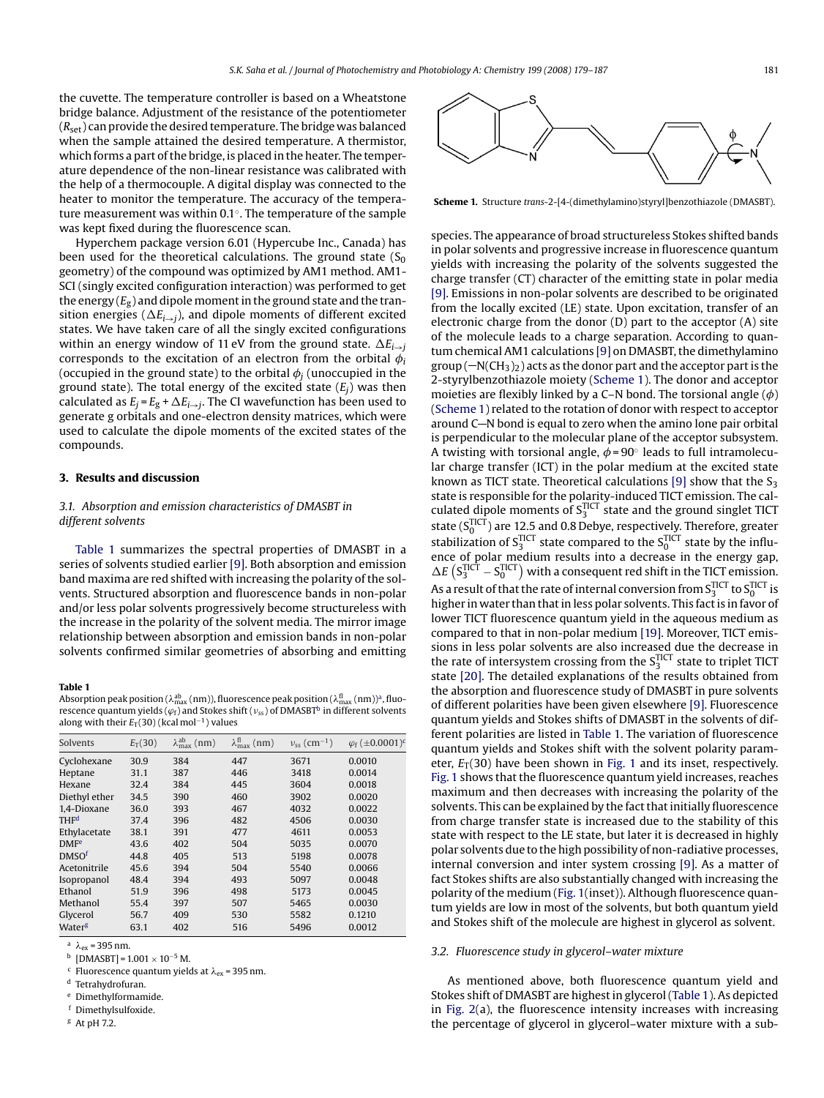the cuvette. The temperature controller is based on a Wheatstone bridge balance. Adjustment of the resistance of the potentiometer (*R*set) can provide the desired temperature. The bridge was balanced when the sample attained the desired temperature. A thermistor, which forms a part of the bridge, is placed in the heater. The temperature dependence of the non-linear resistance was calibrated with the help of a thermocouple. A digital display was connected to the heater to monitor the temperature. The accuracy of the temperature measurement was within 0.1◦. The temperature of the sample was kept fixed during the fluorescence scan.

Hyperchem package version 6.01 (Hypercube Inc., Canada) has been used for the theoretical calculations. The ground state  $(S_0)$ geometry) of the compound was optimized by AM1 method. AM1- SCI (singly excited configuration interaction) was performed to get the energy (*E*g) and dipole moment in the ground state and the transition energies ( $\Delta E_{i\rightarrow j}$ ), and dipole moments of different excited states. We have taken care of all the singly excited configurations within an energy window of 11 eV from the ground state.  $\Delta E_{i\rightarrow j}$ corresponds to the excitation of an electron from the orbital  $\dot{\phi_i}$ (occupied in the ground state) to the orbital  $\phi_j$  (unoccupied in the ground state). The total energy of the excited state (*Ej*) was then calculated as  $E_j = E_g + \Delta E_{i \to j}$ . The CI wavefunction has been used to generate g orbitals and one-electron density matrices, which were used to calculate the dipole moments of the excited states of the compounds.

#### **3. Results and discussion**

## *3.1. Absorption and emission characteristics of DMASBT in different solvents*

Table 1 summarizes the spectral properties of DMASBT in a series of solvents studied earlier [\[9\]. B](#page-8-0)oth absorption and emission band maxima are red shifted with increasing the polarity of the solvents. Structured absorption and fluorescence bands in non-polar and/or less polar solvents progressively become structureless with the increase in the polarity of the solvent media. The mirror image relationship between absorption and emission bands in non-polar solvents confirmed similar geometries of absorbing and emitting

#### **Table 1**

Absorption peak position ( $\lambda^{\rm ab}_{\rm max}$  (nm)), fluorescence peak position ( $\lambda^{\rm fl}_{\rm max}$  (nm))ª, fluorescence quantum yields ( $\varphi_f$ ) and Stokes shift ( $v_{ss}$ ) of DMASBT<sup>b</sup> in different solvents along with their *E*<sub>T</sub>(30) (kcal mol<sup>-1</sup>) values

| Solvents                 | $E_T(30)$ | $\lambda_{\max}^{ab}$ (nm) | $\lambda_{\max}^{\text{fl}}$ (nm) | $v_{ss}$ (cm <sup>-1</sup> ) | $\varphi_{\rm f}$ ( $\pm$ 0.0001) <sup>c</sup> |
|--------------------------|-----------|----------------------------|-----------------------------------|------------------------------|------------------------------------------------|
| Cyclohexane              | 30.9      | 384                        | 447                               | 3671                         | 0.0010                                         |
| Heptane                  | 31.1      | 387                        | 446                               | 3418                         | 0.0014                                         |
| Hexane                   | 32.4      | 384                        | 445                               | 3604                         | 0.0018                                         |
| Diethyl ether            | 34.5      | 390                        | 460                               | 3902                         | 0.0020                                         |
| 1.4-Dioxane              | 36.0      | 393                        | 467                               | 4032                         | 0.0022                                         |
| THF <sup>d</sup>         | 37.4      | 396                        | 482                               | 4506                         | 0.0030                                         |
| Ethylacetate             | 38.1      | 391                        | 477                               | 4611                         | 0.0053                                         |
| DMF <sup>e</sup>         | 43.6      | 402                        | 504                               | 5035                         | 0.0070                                         |
| <b>DMSO</b> <sup>f</sup> | 44.8      | 405                        | 513                               | 5198                         | 0.0078                                         |
| Acetonitrile             | 45.6      | 394                        | 504                               | 5540                         | 0.0066                                         |
| Isopropanol              | 48.4      | 394                        | 493                               | 5097                         | 0.0048                                         |
| Ethanol                  | 51.9      | 396                        | 498                               | 5173                         | 0.0045                                         |
| Methanol                 | 55.4      | 397                        | 507                               | 5465                         | 0.0030                                         |
| Glycerol                 | 56.7      | 409                        | 530                               | 5582                         | 0.1210                                         |
| Waterg                   | 63.1      | 402                        | 516                               | 5496                         | 0.0012                                         |

 $\lambda_{\rm ex}$  = 395 nm.

 $<sup>b</sup>$  [DMASBT] = 1.001 × 10<sup>-5</sup> M.</sup>

Fluorescence quantum yields at  $\lambda_{ex}$  = 395 nm.

<sup>d</sup> Tetrahydrofuran.

Dimethylformamide.

<sup>f</sup> Dimethylsulfoxide.

<sup>g</sup> At pH 7.2.



**Scheme 1.** Structure *trans*-2-[4-(dimethylamino)styryl]benzothiazole (DMASBT).

species. The appearance of broad structureless Stokes shifted bands in polar solvents and progressive increase in fluorescence quantum yields with increasing the polarity of the solvents suggested the charge transfer (CT) character of the emitting state in polar media [\[9\]. E](#page-8-0)missions in non-polar solvents are described to be originated from the locally excited (LE) state. Upon excitation, transfer of an electronic charge from the donor (D) part to the acceptor (A) site of the molecule leads to a charge separation. According to quantum chemical AM1 calculations [\[9\]](#page-8-0) on DMASBT, the dimethylamino group  $(-N(CH_3)_2)$  acts as the donor part and the acceptor part is the 2-styrylbenzothiazole moiety (Scheme 1). The donor and acceptor moieties are flexibly linked by a C–N bond. The torsional angle  $(\phi)$ (Scheme 1) related to the rotation of donor with respect to acceptor around  $C$ —N bond is equal to zero when the amino lone pair orbital is perpendicular to the molecular plane of the acceptor subsystem. A twisting with torsional angle,  $\phi = 90^\circ$  leads to full intramolecular charge transfer (ICT) in the polar medium at the excited state known as TICT state. Theoretical calculations [\[9\]](#page-8-0) show that the  $S_3$ state is responsible for the polarity-induced TICT emission. The calculated dipole moments of  $S_3^{TICT}$  state and the ground singlet TICT state ( $S_0^{TICT}$ ) are 12.5 and 0.8 Debye, respectively. Therefore, greater stabilization of  $S_3^{\text{TICT}}$  state compared to the  $S_0^{\text{TICT}}$  state by the influence of polar medium results into a decrease in the energy gap,  $\Delta E \left( S_3^{\text{TICT}} - S_0^{\text{TICT}} \right)$  with a consequent red shift in the TICT emission. As a result of that the rate of internal conversion from  $S_{3}^{\rm TICT}$  to  $S_{0}^{\rm TICT}$  is higher in water than that in less polar solvents. This fact is in favor of lower TICT fluorescence quantum yield in the aqueous medium as compared to that in non-polar medium [\[19\]. M](#page-8-0)oreover, TICT emissions in less polar solvents are also increased due the decrease in the rate of intersystem crossing from the  $S_3^{\text{TICT}}$  state to triplet TICT state [\[20\]. T](#page-8-0)he detailed explanations of the results obtained from the absorption and fluorescence study of DMASBT in pure solvents of different polarities have been given elsewhere [\[9\]. F](#page-8-0)luorescence quantum yields and Stokes shifts of DMASBT in the solvents of different polarities are listed in Table 1. The variation of fluorescence quantum yields and Stokes shift with the solvent polarity parameter,  $E_T(30)$  have been shown in [Fig. 1](#page-3-0) and its inset, respectively. [Fig. 1](#page-3-0) shows that the fluorescence quantum yield increases, reaches maximum and then decreases with increasing the polarity of the solvents. This can be explained by the fact that initially fluorescence from charge transfer state is increased due to the stability of this state with respect to the LE state, but later it is decreased in highly polar solvents due to the high possibility of non-radiative processes, internal conversion and inter system crossing [\[9\].](#page-8-0) As a matter of fact Stokes shifts are also substantially changed with increasing the polarity of the medium [\(Fig. 1\(i](#page-3-0)nset)). Although fluorescence quantum yields are low in most of the solvents, but both quantum yield and Stokes shift of the molecule are highest in glycerol as solvent.

#### *3.2. Fluorescence study in glycerol–water mixture*

As mentioned above, both fluorescence quantum yield and Stokes shift of DMASBT are highest in glycerol (Table 1). As depicted in [Fig. 2\(a](#page-3-0)), the fluorescence intensity increases with increasing the percentage of glycerol in glycerol–water mixture with a sub-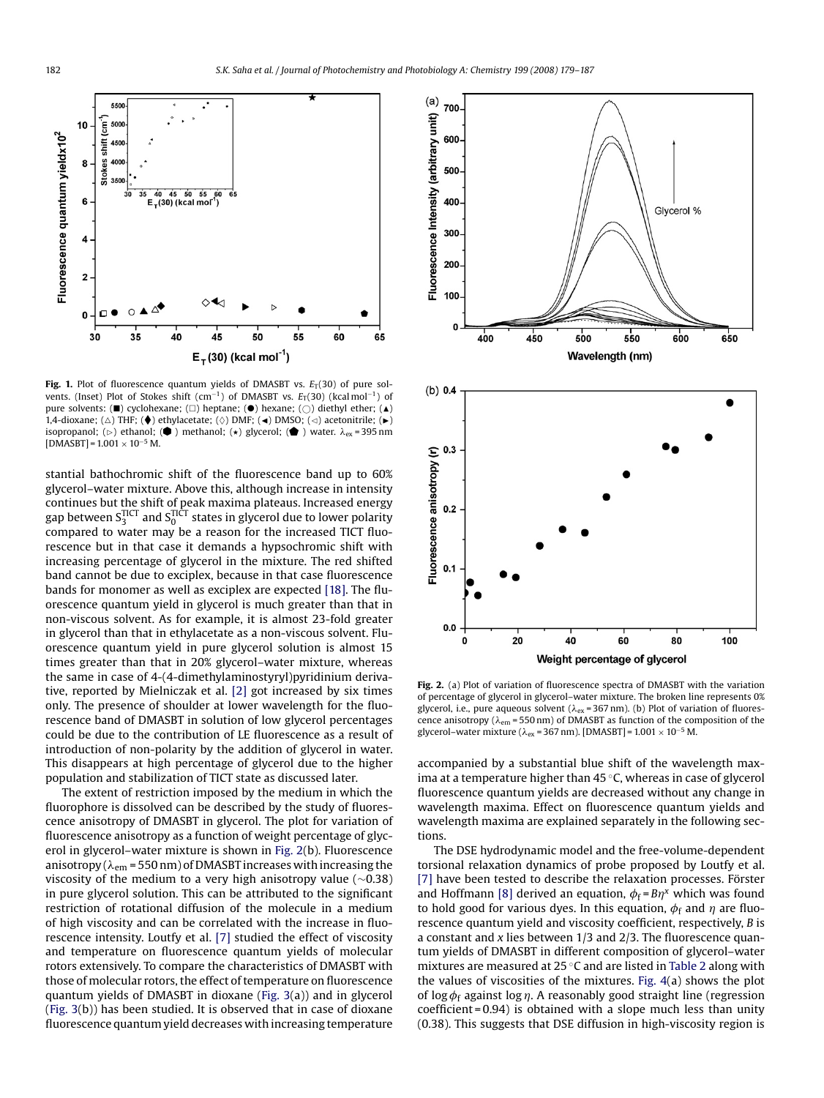<span id="page-3-0"></span>

**Fig. 1.** Plot of fluorescence quantum yields of DMASBT vs.  $E_T(30)$  of pure solvents. (Inset) Plot of Stokes shift (cm<sup>-1</sup>) of DMASBT vs. *E*<sub>T</sub>(30) (kcal mol<sup>-1</sup>) of pure solvents: ( $\blacksquare$ ) cyclohexane; ( $\Box$ ) heptane; ( $\spadesuit$ ) hexane; ( $\bigcirc$ ) diethyl ether; ( $\blacktriangle$ ) 1,4-dioxane; ( $\triangle$ ) THF; ( $\blacklozenge$ ) ethylacetate; ( $\Diamond$ ) DMF; ( $\blacktriangleleft$ ) DMSO; ( $\triangleleft$ ) acetonitrile; ( $\blacktriangleright$ ) isopropanol; ( $\triangleright$ ) ethanol; ( $\blacklozenge$ ) methanol; ( $\star$ ) glycerol; ( $\blacklozenge$ ) water.  $\lambda_{\text{ex}}$  = 395 nm  $[DMASBT] = 1.001 \times 10^{-5}$  M.

stantial bathochromic shift of the fluorescence band up to 60% glycerol–water mixture. Above this, although increase in intensity continues but the shift of peak maxima plateaus. Increased energy gap between  $S_3^{\rm TICT}$  and  $S_0^{\rm TICT}$  states in glycerol due to lower polarity compared to water may be a reason for the increased TICT fluorescence but in that case it demands a hypsochromic shift with increasing percentage of glycerol in the mixture. The red shifted band cannot be due to exciplex, because in that case fluorescence bands for monomer as well as exciplex are expected [\[18\]. T](#page-8-0)he fluorescence quantum yield in glycerol is much greater than that in non-viscous solvent. As for example, it is almost 23-fold greater in glycerol than that in ethylacetate as a non-viscous solvent. Fluorescence quantum yield in pure glycerol solution is almost 15 times greater than that in 20% glycerol–water mixture, whereas the same in case of 4-(4-dimethylaminostyryl)pyridinium derivative, reported by Mielniczak et al. [\[2\]](#page-8-0) got increased by six times only. The presence of shoulder at lower wavelength for the fluorescence band of DMASBT in solution of low glycerol percentages could be due to the contribution of LE fluorescence as a result of introduction of non-polarity by the addition of glycerol in water. This disappears at high percentage of glycerol due to the higher population and stabilization of TICT state as discussed later.

The extent of restriction imposed by the medium in which the fluorophore is dissolved can be described by the study of fluorescence anisotropy of DMASBT in glycerol. The plot for variation of fluorescence anisotropy as a function of weight percentage of glycerol in glycerol–water mixture is shown in Fig. 2(b). Fluorescence anisotropy ( $\lambda_{em}$  = 550 nm) of DMASBT increases with increasing the viscosity of the medium to a very high anisotropy value (∼0.38) in pure glycerol solution. This can be attributed to the significant restriction of rotational diffusion of the molecule in a medium of high viscosity and can be correlated with the increase in fluorescence intensity. Loutfy et al. [\[7\]](#page-8-0) studied the effect of viscosity and temperature on fluorescence quantum yields of molecular rotors extensively. To compare the characteristics of DMASBT with those of molecular rotors, the effect of temperature on fluorescence quantum yields of DMASBT in dioxane [\(Fig. 3\(a](#page-5-0))) and in glycerol ([Fig. 3\(b](#page-5-0))) has been studied. It is observed that in case of dioxane fluorescence quantum yield decreases with increasing temperature



**Fig. 2.** (a) Plot of variation of fluorescence spectra of DMASBT with the variation of percentage of glycerol in glycerol–water mixture. The broken line represents 0% glycerol, i.e., pure aqueous solvent ( $\lambda_{ex}$  = 367 nm). (b) Plot of variation of fluorescence anisotropy ( $\lambda_{em}$  = 550 nm) of DMASBT as function of the composition of the glycerol–water mixture ( $\lambda_{ex}$  = 367 nm). [DMASBT] = 1.001  $\times$  10<sup>-5</sup> M.

accompanied by a substantial blue shift of the wavelength maxima at a temperature higher than 45 ◦C, whereas in case of glycerol fluorescence quantum yields are decreased without any change in wavelength maxima. Effect on fluorescence quantum yields and wavelength maxima are explained separately in the following sections.

The DSE hydrodynamic model and the free-volume-dependent torsional relaxation dynamics of probe proposed by Loutfy et al. [\[7\]](#page-8-0) have been tested to describe the relaxation processes. Förster and Hoffmann [\[8\]](#page-8-0) derived an equation,  $\phi_f = B\eta^x$  which was found to hold good for various dyes. In this equation,  $\phi_f$  and  $\eta$  are fluorescence quantum yield and viscosity coefficient, respectively, *B* is a constant and *x* lies between 1/3 and 2/3. The fluorescence quantum yields of DMASBT in different composition of glycerol–water mixtures are measured at 25 ◦C and are listed in [Table 2](#page-4-0) along with the values of viscosities of the mixtures. [Fig. 4\(a](#page-5-0)) shows the plot of log  $\phi_f$  against log  $\eta$ . A reasonably good straight line (regression coefficient = 0.94) is obtained with a slope much less than unity (0.38). This suggests that DSE diffusion in high-viscosity region is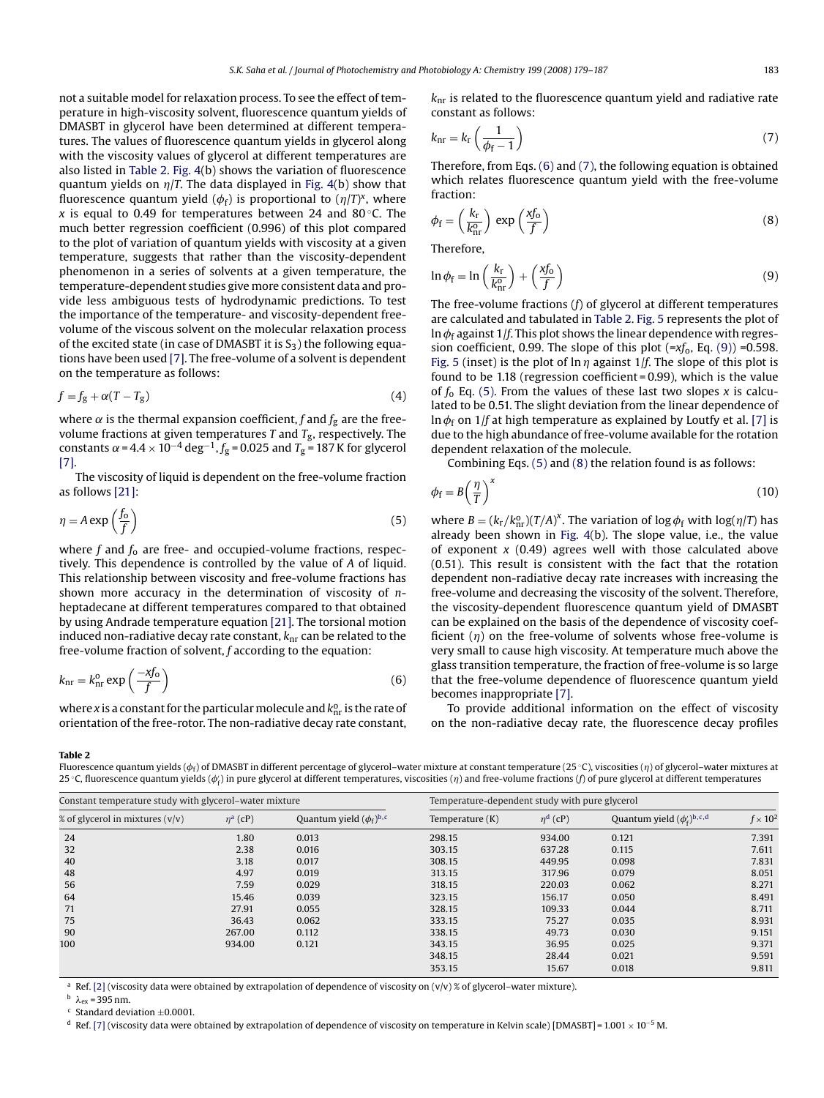<span id="page-4-0"></span>not a suitable model for relaxation process. To see the effect of temperature in high-viscosity solvent, fluorescence quantum yields of DMASBT in glycerol have been determined at different temperatures. The values of fluorescence quantum yields in glycerol along with the viscosity values of glycerol at different temperatures are also listed in Table 2. [Fig. 4\(b](#page-5-0)) shows the variation of fluorescence quantum yields on  $\eta/T$ . The data displayed in [Fig. 4\(b](#page-5-0)) show that fluorescence quantum yield ( $\phi_f$ ) is proportional to ( $\eta/T$ )<sup>x</sup>, where *x* is equal to 0.49 for temperatures between 24 and 80 ℃. The much better regression coefficient (0.996) of this plot compared to the plot of variation of quantum yields with viscosity at a given temperature, suggests that rather than the viscosity-dependent phenomenon in a series of solvents at a given temperature, the temperature-dependent studies give more consistent data and provide less ambiguous tests of hydrodynamic predictions. To test the importance of the temperature- and viscosity-dependent freevolume of the viscous solvent on the molecular relaxation process of the excited state (in case of DMASBT it is  $S_3$ ) the following equations have been used [\[7\]. T](#page-8-0)he free-volume of a solvent is dependent on the temperature as follows:

$$
f = f_g + \alpha (T - T_g) \tag{4}
$$

where  $\alpha$  is the thermal expansion coefficient, *f* and  $f_g$  are the freevolume fractions at given temperatures *T* and *T*g, respectively. The constants  $\alpha$  = 4.4 × 10<sup>-4</sup> deg<sup>-1</sup>,  $f_g$  = 0.025 and  $T_g$  = 187 K for glycerol [\[7\].](#page-8-0)

The viscosity of liquid is dependent on the free-volume fraction as follows [\[21\]:](#page-8-0)

$$
\eta = A \exp\left(\frac{f_0}{f}\right) \tag{5}
$$

where *f* and *f*<sup>o</sup> are free- and occupied-volume fractions, respectively. This dependence is controlled by the value of *A* of liquid. This relationship between viscosity and free-volume fractions has shown more accuracy in the determination of viscosity of *n*heptadecane at different temperatures compared to that obtained by using Andrade temperature equation [\[21\]. T](#page-8-0)he torsional motion induced non-radiative decay rate constant, *k*nr can be related to the free-volume fraction of solvent, *f* according to the equation:

$$
k_{\rm nr} = k_{\rm nr}^{\rm o} \exp\left(\frac{-xf_{\rm o}}{f}\right) \tag{6}
$$

where  $x$  is a constant for the particular molecule and  $k_{\rm nr}^{\rm o}$  is the rate of orientation of the free-rotor. The non-radiative decay rate constant,

**Table 2**

Fluorescence quantum yields ( $\phi_f$ ) of DMASBT in different percentage of glycerol–water mixture at constant temperature (25 °C), viscosities ( $\eta$ ) of glycerol–water mixtures at 25 °C, fluorescence quantum yields ( $\phi'_i$ ) in pure glycerol at different temperatures, viscosities ( $\eta$ ) and free-volume fractions (f) of pure glycerol at different temperatures

| Constant temperature study with glycerol–water mixture |                     |                                | Temperature-dependent study with pure glycerol |               |                                   |                 |  |
|--------------------------------------------------------|---------------------|--------------------------------|------------------------------------------------|---------------|-----------------------------------|-----------------|--|
| % of glycerol in mixtures (y/y)                        | $\eta^{\rm a}$ (cP) | Quantum yield $(\phi_f)^{b,c}$ | Temperature $(K)$                              | $\eta^d$ (cP) | Quantum yield $(\phi'_f)^{b,c,d}$ | $f \times 10^2$ |  |
| 24                                                     | 1.80                | 0.013                          | 298.15                                         | 934.00        | 0.121                             | 7.391           |  |
| 32                                                     | 2.38                | 0.016                          | 303.15                                         | 637.28        | 0.115                             | 7.611           |  |
| 40                                                     | 3.18                | 0.017                          | 308.15                                         | 449.95        | 0.098                             | 7.831           |  |
| 48                                                     | 4.97                | 0.019                          | 313.15                                         | 317.96        | 0.079                             | 8.051           |  |
| 56                                                     | 7.59                | 0.029                          | 318.15                                         | 220.03        | 0.062                             | 8.271           |  |
| 64                                                     | 15.46               | 0.039                          | 323.15                                         | 156.17        | 0.050                             | 8.491           |  |
| 71                                                     | 27.91               | 0.055                          | 328.15                                         | 109.33        | 0.044                             | 8.711           |  |
| 75                                                     | 36.43               | 0.062                          | 333.15                                         | 75.27         | 0.035                             | 8.931           |  |
| 90                                                     | 267.00              | 0.112                          | 338.15                                         | 49.73         | 0.030                             | 9.151           |  |
| 100                                                    | 934.00              | 0.121                          | 343.15                                         | 36.95         | 0.025                             | 9.371           |  |
|                                                        |                     |                                | 348.15                                         | 28.44         | 0.021                             | 9.591           |  |
|                                                        |                     |                                | 353.15                                         | 15.67         | 0.018                             | 9.811           |  |

<sup>a</sup> Ref. [\[2\]](#page-8-0) (viscosity data were obtained by extrapolation of dependence of viscosity on  $(v/v)$  % of glycerol-water mixture).

 $b \lambda_{ex} = 395$  nm.

 $c$  Standard deviation  $\pm 0.0001$ .

<sup>d</sup> Ref. [\[7\]](#page-8-0) (viscosity data were obtained by extrapolation of dependence of viscosity on temperature in Kelvin scale) [DMASBT] = 1.001 × 10<sup>-5</sup> M.

*k*nr is related to the fluorescence quantum yield and radiative rate constant as follows:

$$
k_{\rm nr} = k_{\rm r} \left( \frac{1}{\phi_{\rm f} - 1} \right) \tag{7}
$$

Therefore, from Eqs. (6) and (7), the following equation is obtained which relates fluorescence quantum yield with the free-volume fraction:

$$
\phi_{\rm f} = \left(\frac{k_{\rm r}}{k_{\rm nr}^{\rm o}}\right) \exp\left(\frac{\mathsf{x} f_{\rm o}}{f}\right) \tag{8}
$$

Therefore,

$$
\ln \phi_{\rm f} = \ln \left( \frac{k_{\rm r}}{k_{\rm nr}^{\rm o}} \right) + \left( \frac{\mathsf{x} f_{\rm o}}{f} \right) \tag{9}
$$

The free-volume fractions (*f*) of glycerol at different temperatures are calculated and tabulated in Table 2. [Fig. 5](#page-5-0) represents the plot of  $\ln \phi_f$  against 1/*f*. This plot shows the linear dependence with regression coefficient, 0.99. The slope of this plot  $(=\xinfty f_0, Eq. (9)) = 0.598$ . [Fig. 5](#page-5-0) (inset) is the plot of  $\ln \eta$  against 1/*f*. The slope of this plot is found to be 1.18 (regression coefficient = 0.99), which is the value of *f*<sup>o</sup> Eq. (5). From the values of these last two slopes *x* is calculated to be 0.51. The slight deviation from the linear dependence of  $\ln \phi_f$  on 1/*f* at high temperature as explained by Loutfy et al. [\[7\]](#page-8-0) is due to the high abundance of free-volume available for the rotation dependent relaxation of the molecule.

Combining Eqs. (5) and (8) the relation found is as follows:

$$
\phi_{\rm f} = B \left( \frac{\eta}{T} \right)^x \tag{10}
$$

where  $B = (k_r / k_{nr}^0) (T/A)^x$ . The variation of log  $\phi_f$  with log( $\eta/T$ ) has already been shown in [Fig. 4\(b](#page-5-0)). The slope value, i.e., the value of exponent *x* (0.49) agrees well with those calculated above (0.51). This result is consistent with the fact that the rotation dependent non-radiative decay rate increases with increasing the free-volume and decreasing the viscosity of the solvent. Therefore, the viscosity-dependent fluorescence quantum yield of DMASBT can be explained on the basis of the dependence of viscosity coefficient  $(η)$  on the free-volume of solvents whose free-volume is very small to cause high viscosity. At temperature much above the glass transition temperature, the fraction of free-volume is so large that the free-volume dependence of fluorescence quantum yield becomes inappropriate [\[7\].](#page-8-0)

To provide additional information on the effect of viscosity on the non-radiative decay rate, the fluorescence decay profiles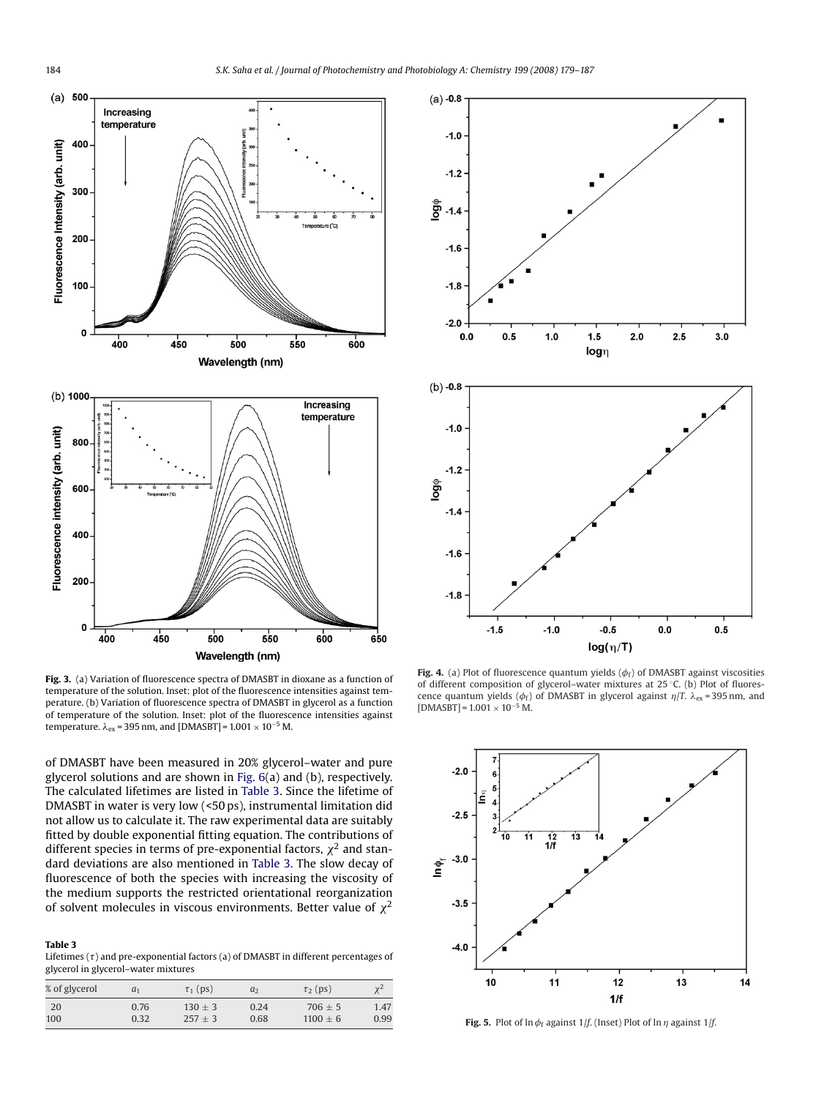<span id="page-5-0"></span>

**Fig. 3.** (a) Variation of fluorescence spectra of DMASBT in dioxane as a function of temperature of the solution. Inset: plot of the fluorescence intensities against temperature. (b) Variation of fluorescence spectra of DMASBT in glycerol as a function of temperature of the solution. Inset: plot of the fluorescence intensities against temperature.  $\lambda_{ex}$  = 395 nm, and [DMASBT] = 1.001  $\times$  10<sup>-5</sup> M.

of DMASBT have been measured in 20% glycerol–water and pure glycerol solutions and are shown in [Fig. 6\(a](#page-6-0)) and (b), respectively. The calculated lifetimes are listed in Table 3. Since the lifetime of DMASBT in water is very low (<50 ps), instrumental limitation did not allow us to calculate it. The raw experimental data are suitably fitted by double exponential fitting equation. The contributions of different species in terms of pre-exponential factors,  $\chi^2$  and standard deviations are also mentioned in Table 3. The slow decay of fluorescence of both the species with increasing the viscosity of the medium supports the restricted orientational reorganization of solvent molecules in viscous environments. Better value of  $\chi^2$ 

**Table 3** Lifetimes ( $\tau$ ) and pre-exponential factors (a) of DMASBT in different percentages of glycerol in glycerol–water mixtures

| % of glycerol | $a_{1}$ | $\tau_1$ (ps) | a <sub>2</sub> | $\tau_2$ (ps) | $\sim$ <sup>2</sup> |
|---------------|---------|---------------|----------------|---------------|---------------------|
| 20            | 0.76    | $130 + 3$     | 0.24           | $706 + 5$     | 1.47                |
| 100           | 0.32    | $257 + 3$     | 0.68           | $1100 + 6$    | 0.99                |



Fig. 4. (a) Plot of fluorescence quantum yields  $(\phi_f)$  of DMASBT against viscosities of different composition of glycerol–water mixtures at 25 °C. (b) Plot of fluorescence quantum yields ( $\phi_f$ ) of DMASBT in glycerol against  $\eta/T$ .  $\lambda_{\text{ex}} = 395$  nm, and [DMASBT] = 1.001 × 10<sup>-5</sup> M.



**Fig. 5.** Plot of  $\ln \phi_f$  against 1/*f*. (Inset) Plot of  $\ln \eta$  against 1/*f*.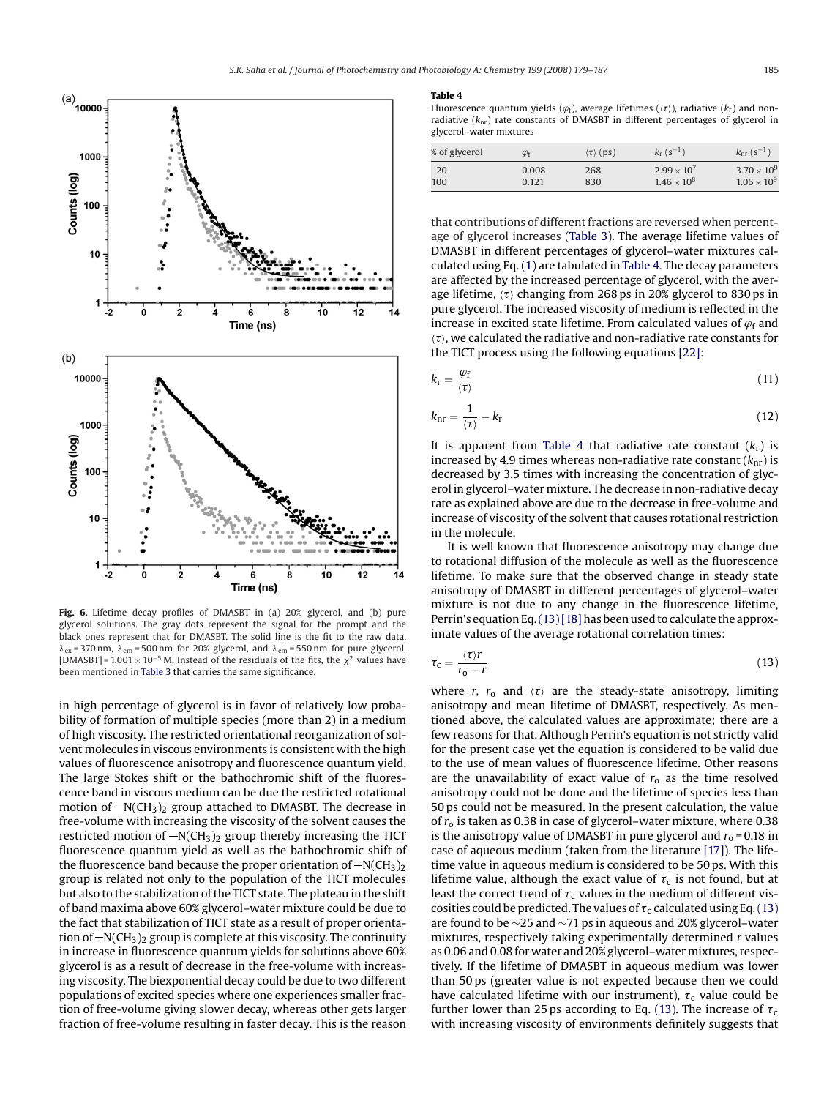<span id="page-6-0"></span>

Fig. 6. Lifetime decay profiles of DMASBT in (a) 20% glycerol, and (b) pure glycerol solutions. The gray dots represent the signal for the prompt and the black ones represent that for DMASBT. The solid line is the fit to the raw data.  $\lambda_{ex}$  = 370 nm,  $\lambda_{em}$  = 500 nm for 20% glycerol, and  $\lambda_{em}$  = 550 nm for pure glycerol. [DMASBT] =  $1.001 \times 10^{-5}$  M. Instead of the residuals of the fits, the  $\chi^2$  values have been mentioned in [Table 3](#page-5-0) that carries the same significance.

in high percentage of glycerol is in favor of relatively low probability of formation of multiple species (more than 2) in a medium of high viscosity. The restricted orientational reorganization of solvent molecules in viscous environments is consistent with the high values of fluorescence anisotropy and fluorescence quantum yield. The large Stokes shift or the bathochromic shift of the fluorescence band in viscous medium can be due the restricted rotational motion of  $-N(CH_3)_2$  group attached to DMASBT. The decrease in free-volume with increasing the viscosity of the solvent causes the restricted motion of  $-N(CH_3)_2$  group thereby increasing the TICT fluorescence quantum yield as well as the bathochromic shift of the fluorescence band because the proper orientation of  $-N(CH_3)_2$ group is related not only to the population of the TICT molecules but also to the stabilization of the TICT state. The plateau in the shift of band maxima above 60% glycerol–water mixture could be due to the fact that stabilization of TICT state as a result of proper orientation of  $-N(CH_3)_2$  group is complete at this viscosity. The continuity in increase in fluorescence quantum yields for solutions above 60% glycerol is as a result of decrease in the free-volume with increasing viscosity. The biexponential decay could be due to two different populations of excited species where one experiences smaller fraction of free-volume giving slower decay, whereas other gets larger fraction of free-volume resulting in faster decay. This is the reason

#### **Table 4**

Fluorescence quantum yields ( $\varphi_f$ ), average lifetimes ( $\langle \tau \rangle$ ), radiative ( $k_r$ ) and nonradiative  $(k<sub>nr</sub>)$  rate constants of DMASBT in different percentages of glycerol in glycerol–water mixtures

| % of glycerol | $\varphi_{\text{f}}$ | $\langle \tau \rangle$ (ps) | $k_r$ (s <sup>-1</sup> ) | $k_{\rm nr}$ (s <sup>-1</sup> ) |
|---------------|----------------------|-----------------------------|--------------------------|---------------------------------|
| <sup>20</sup> | 0.008                | 268                         | $2.99 \times 10^{7}$     | $3.70 \times 10^{9}$            |
| 100           | 0.121                | 830                         | $1.46 \times 10^{8}$     | $1.06 \times 10^{9}$            |

that contributions of different fractions are reversed when percentage of glycerol increases ([Table 3\).](#page-5-0) The average lifetime values of DMASBT in different percentages of glycerol–water mixtures calculated using Eq. [\(1\)](#page-1-0) are tabulated in Table 4. The decay parameters are affected by the increased percentage of glycerol, with the average lifetime,  $\langle \tau \rangle$  changing from 268 ps in 20% glycerol to 830 ps in pure glycerol. The increased viscosity of medium is reflected in the increase in excited state lifetime. From calculated values of  $\varphi_f$  and  $\langle \tau \rangle$ , we calculated the radiative and non-radiative rate constants for the TICT process using the following equations [\[22\]:](#page-8-0)

$$
k_{\rm r} = \frac{\varphi_{\rm f}}{\langle \tau \rangle} \tag{11}
$$

$$
k_{\rm nr} = \frac{1}{\langle \tau \rangle} - k_{\rm r} \tag{12}
$$

It is apparent from Table 4 that radiative rate constant  $(k_r)$  is increased by 4.9 times whereas non-radiative rate constant  $(k<sub>nr</sub>)$  is decreased by 3.5 times with increasing the concentration of glycerol in glycerol–water mixture. The decrease in non-radiative decay rate as explained above are due to the decrease in free-volume and increase of viscosity of the solvent that causes rotational restriction in the molecule.

It is well known that fluorescence anisotropy may change due to rotational diffusion of the molecule as well as the fluorescence lifetime. To make sure that the observed change in steady state anisotropy of DMASBT in different percentages of glycerol–water mixture is not due to any change in the fluorescence lifetime, Perrin's equation Eq.(13) [\[18\]h](#page-8-0)as been used to calculate the approximate values of the average rotational correlation times:

$$
\tau_{\rm c} = \frac{\langle \tau \rangle r}{r_{\rm o} - r} \tag{13}
$$

where *r*,  $r_0$  and  $\langle \tau \rangle$  are the steady-state anisotropy, limiting anisotropy and mean lifetime of DMASBT, respectively. As mentioned above, the calculated values are approximate; there are a few reasons for that. Although Perrin's equation is not strictly valid for the present case yet the equation is considered to be valid due to the use of mean values of fluorescence lifetime. Other reasons are the unavailability of exact value of  $r_0$  as the time resolved anisotropy could not be done and the lifetime of species less than 50 ps could not be measured. In the present calculation, the value of *r*<sup>o</sup> is taken as 0.38 in case of glycerol–water mixture, where 0.38 is the anisotropy value of DMASBT in pure glycerol and  $r_0$  = 0.18 in case of aqueous medium (taken from the literature [\[17\]\).](#page-8-0) The lifetime value in aqueous medium is considered to be 50 ps. With this lifetime value, although the exact value of  $\tau_c$  is not found, but at least the correct trend of  $\tau_c$  values in the medium of different viscosities could be predicted. The values of  $\tau_{\rm c}$  calculated using Eq. ( 13 ) are found to be ∼25 and ∼71 ps in aqueous and 20% glycerol–water mixtures, respectively taking experimentally determined *r* values as 0.06 and 0.08 for water and 20% glycerol–water mixtures, respectively. If the lifetime of DMASBT in aqueous medium was lower than 50 ps (greater value is not expected because then we could have calculated lifetime with our instrument),  $\tau_c$  value could be further lower than 25 ps according to Eq. (13). The increase of  $\tau_c$ with increasing viscosity of environments definitely suggests that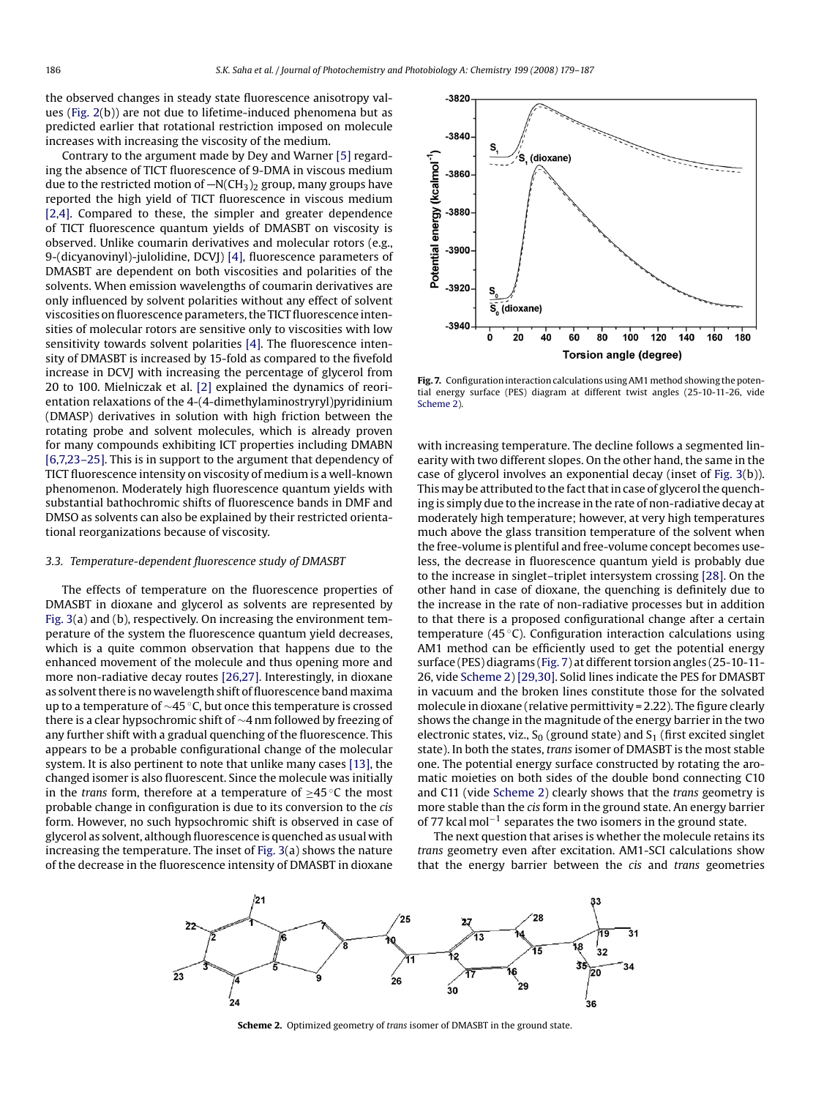the observed changes in steady state fluorescence anisotropy values ([Fig. 2\(b](#page-3-0))) are not due to lifetime-induced phenomena but as predicted earlier that rotational restriction imposed on molecule increases with increasing the viscosity of the medium.

Contrary to the argument made by Dey and Warner [\[5\]](#page-8-0) regarding the absence of TICT fluorescence of 9-DMA in viscous medium due to the restricted motion of  $-N(CH_3)_2$  group, many groups have reported the high yield of TICT fluorescence in viscous medium [\[2,4\].](#page-8-0) Compared to these, the simpler and greater dependence of TICT fluorescence quantum yields of DMASBT on viscosity is observed. Unlike coumarin derivatives and molecular rotors (e.g., 9-(dicyanovinyl)-julolidine, DCVJ) [\[4\],](#page-8-0) fluorescence parameters of DMASBT are dependent on both viscosities and polarities of the solvents. When emission wavelengths of coumarin derivatives are only influenced by solvent polarities without any effect of solvent viscosities on fluorescence parameters, the TICT fluorescence intensities of molecular rotors are sensitive only to viscosities with low sensitivity towards solvent polarities [\[4\].](#page-8-0) The fluorescence intensity of DMASBT is increased by 15-fold as compared to the fivefold increase in DCVJ with increasing the percentage of glycerol from 20 to 100. Mielniczak et al. [\[2\]](#page-8-0) explained the dynamics of reorientation relaxations of the 4-(4-dimethylaminostryryl)pyridinium (DMASP) derivatives in solution with high friction between the rotating probe and solvent molecules, which is already proven for many compounds exhibiting ICT properties including DMABN [\[6,7,23–25\]. T](#page-8-0)his is in support to the argument that dependency of TICT fluorescence intensity on viscosity of medium is a well-known phenomenon. Moderately high fluorescence quantum yields with substantial bathochromic shifts of fluorescence bands in DMF and DMSO as solvents can also be explained by their restricted orientational reorganizations because of viscosity.

### *3.3. Temperature-dependent fluorescence study of DMASBT*

The effects of temperature on the fluorescence properties of DMASBT in dioxane and glycerol as solvents are represented by [Fig. 3\(a](#page-5-0)) and (b), respectively. On increasing the environment temperature of the system the fluorescence quantum yield decreases, which is a quite common observation that happens due to the enhanced movement of the molecule and thus opening more and more non-radiative decay routes [\[26,27\]. I](#page-8-0)nterestingly, in dioxane as solvent there is no wavelength shift of fluorescence band maxima up to a temperature of ∼45 ◦C, but once this temperature is crossed there is a clear hypsochromic shift of ∼4 nm followed by freezing of any further shift with a gradual quenching of the fluorescence. This appears to be a probable configurational change of the molecular system. It is also pertinent to note that unlike many cases [\[13\], t](#page-8-0)he changed isomer is also fluorescent. Since the molecule was initially in the *trans* form, therefore at a temperature of ≥45 ◦C the most probable change in configuration is due to its conversion to the *cis* form. However, no such hypsochromic shift is observed in case of glycerol as solvent, although fluorescence is quenched as usual with increasing the temperature. The inset of [Fig. 3\(a](#page-5-0)) shows the nature of the decrease in the fluorescence intensity of DMASBT in dioxane



Fig. 7. Configuration interaction calculations using AM1 method showing the potential energy surface (PES) diagram at different twist angles (25-10-11-26, vide Scheme 2).

with increasing temperature. The decline follows a segmented linearity with two different slopes. On the other hand, the same in the case of glycerol involves an exponential decay (inset of [Fig. 3\(b](#page-5-0))). This may be attributed to the fact that in case of glycerol the quenching is simply due to the increase in the rate of non-radiative decay at moderately high temperature; however, at very high temperatures much above the glass transition temperature of the solvent when the free-volume is plentiful and free-volume concept becomes useless, the decrease in fluorescence quantum yield is probably due to the increase in singlet–triplet intersystem crossing [\[28\]. O](#page-8-0)n the other hand in case of dioxane, the quenching is definitely due to the increase in the rate of non-radiative processes but in addition to that there is a proposed configurational change after a certain temperature (45 ◦C). Configuration interaction calculations using AM1 method can be efficiently used to get the potential energy surface (PES) diagrams (Fig. 7) at different torsion angles (25-10-11- 26, vide Scheme 2) [\[29,30\]. S](#page-8-0)olid lines indicate the PES for DMASBT in vacuum and the broken lines constitute those for the solvated molecule in dioxane (relative permittivity = 2.22). The figure clearly shows the change in the magnitude of the energy barrier in the two electronic states, viz.,  $S_0$  (ground state) and  $S_1$  (first excited singlet state). In both the states, *trans* isomer of DMASBT is the most stable one. The potential energy surface constructed by rotating the aromatic moieties on both sides of the double bond connecting C10 and C11 (vide Scheme 2) clearly shows that the *trans* geometry is more stable than the *cis* form in the ground state. An energy barrier of 77 kcal mol−<sup>1</sup> separates the two isomers in the ground state.

The next question that arises is whether the molecule retains its *trans* geometry even after excitation. AM1-SCI calculations show that the energy barrier between the *cis* and *trans* geometries



**Scheme 2.** Optimized geometry of *trans* isomer of DMASBT in the ground state.